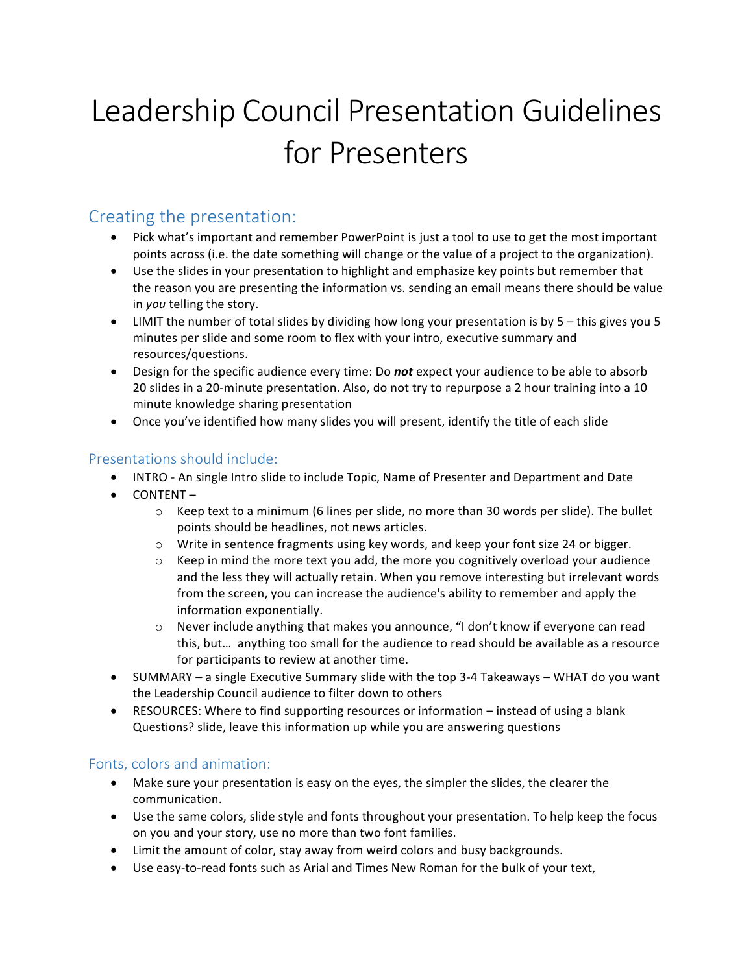# Leadership Council Presentation Guidelines for Presenters

## Creating the presentation:

- Pick what's important and remember PowerPoint is just a tool to use to get the most important points across (i.e. the date something will change or the value of a project to the organization).
- Use the slides in your presentation to highlight and emphasize key points but remember that the reason you are presenting the information vs. sending an email means there should be value in *you* telling the story.
- LIMIT the number of total slides by dividing how long your presentation is by 5 this gives you 5 minutes per slide and some room to flex with your intro, executive summary and resources/questions.
- Design for the specific audience every time: Do not expect your audience to be able to absorb 20 slides in a 20-minute presentation. Also, do not try to repurpose a 2 hour training into a 10 minute knowledge sharing presentation
- Once you've identified how many slides you will present, identify the title of each slide

#### Presentations should include:

- INTRO An single Intro slide to include Topic, Name of Presenter and Department and Date
- CONTENT
	- $\circ$  Keep text to a minimum (6 lines per slide, no more than 30 words per slide). The bullet points should be headlines, not news articles.
	- $\circ$  Write in sentence fragments using key words, and keep your font size 24 or bigger.
	- $\circ$  Keep in mind the more text you add, the more you cognitively overload your audience and the less they will actually retain. When you remove interesting but irrelevant words from the screen, you can increase the audience's ability to remember and apply the information exponentially.
	- $\circ$  Never include anything that makes you announce, "I don't know if everyone can read this, but... anything too small for the audience to read should be available as a resource for participants to review at another time.
- SUMMARY a single Executive Summary slide with the top 3-4 Takeaways WHAT do you want the Leadership Council audience to filter down to others
- RESOURCES: Where to find supporting resources or information instead of using a blank Questions? slide, leave this information up while you are answering questions

#### Fonts, colors and animation:

- Make sure your presentation is easy on the eyes, the simpler the slides, the clearer the communication.
- Use the same colors, slide style and fonts throughout your presentation. To help keep the focus on you and your story, use no more than two font families.
- Limit the amount of color, stay away from weird colors and busy backgrounds.
- Use easy-to-read fonts such as Arial and Times New Roman for the bulk of your text,